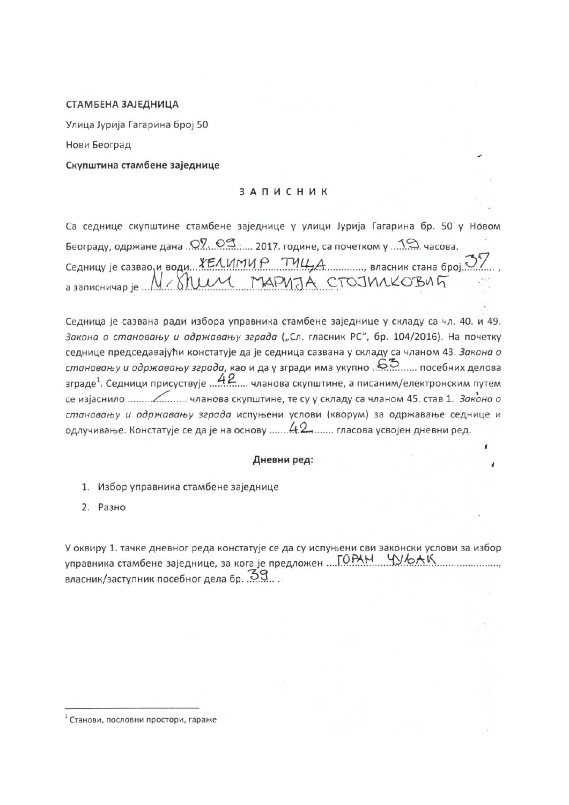## СТАМБЕНА ЗАЈЕДНИЦА

Улица Јурија Гагарина број 50

Нови Београд

Скупштина стамбене заједнице

## ЗАПИСНИК

Са седнице скупштине стамбене заједнице у улици Јурија Гагарина бр. 50 у Новом Београду, одржане дана ОУ, ОЗ...... 2017. године, са почетком у 19. часова. Ceдницу је сазвао и води ХЕЛИМИР ТИЦДА Власник стана број. а записничар је .

Седница је сазвана ради избора управника стамбене заједнице у складу са чл. 40. и 49. Закона о становању и одржавању зграда ("Сл. гласник РС", бр. 104/2016). На почетку седнице председавајући констатује да је седница сазвана у складу са чланом 43. Закона о становању и одржавању зграда, као и да у згради има укупно ..................... посебних делова се изјаснило ........................... чланова скупштине, те су у складу са чланом 45. став 1. Закона о становању и одржавању зграда испуњени услови (кворум) за одржавање седнице и 

## Дневни ред:

- 1. Избор управника стамбене заједнице
- 2. Разно

У оквиру 1. тачке дневног реда констатује се да су испуњени сви законски услови за избор управника стамбене заједнице, за кога је предложен .... ГОРАН ЧУЉАК власник/заступник посебног дела бр. 39...

<sup>&</sup>lt;sup>1</sup> Станови, пословни простори, гараже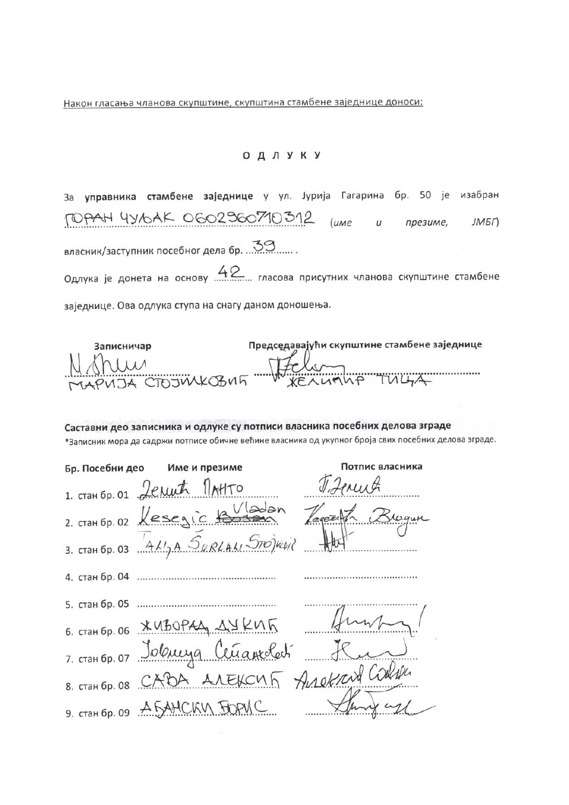Након гласања чланова скупштине, скупштина стамбене заједнице доноси:

## **ОДЛУКУ**

За управника стамбене заједнице у ул. Јурија Гагарина бр. 50 је изабран FOPAH YYOAK 0602960710312 (UME U SPESSIME,  $JM5T$ власник/заступник посебног дела бр. .............. заједнице. Ова одлука ступа на снагу даном доношења.

Председавајући скупштине стамбене заједнице Записничар I Thum<br>TAPUJA CTOJULKOBUT WERHAMP TULHA

Саставни део записника и одлуке су потписи власника посебних делова зграде \*Записник мора да садржи потписе обичне већине власника од укупног броја свих посебних делова зграде.

| Бр. Посебни део | Име и презиме                                | Потпис власника |
|-----------------|----------------------------------------------|-----------------|
|                 | 1. CTAH 6p. 01 2enut MAHTO                   | V. Jerrit       |
|                 | 2. CTaH 6p. 02 Kesegic Bosson Terest Blaque  |                 |
|                 | 3. CTAH 6p. 03 $A/\lambda$ GURLALI STO) Kill |                 |
|                 |                                              |                 |
|                 |                                              |                 |
|                 | 6. CTaH 6p. 06 XUBOPAA AYKUK                 |                 |
|                 | 7. CTAH 6p. 07 Jolencya Cenander             |                 |
|                 | 8. CTAH 6p. 08 CABA ALEXCUT And Know CORN    |                 |
|                 | 9. CTAH Op. 09 A 5 AHCKU FORVIC              |                 |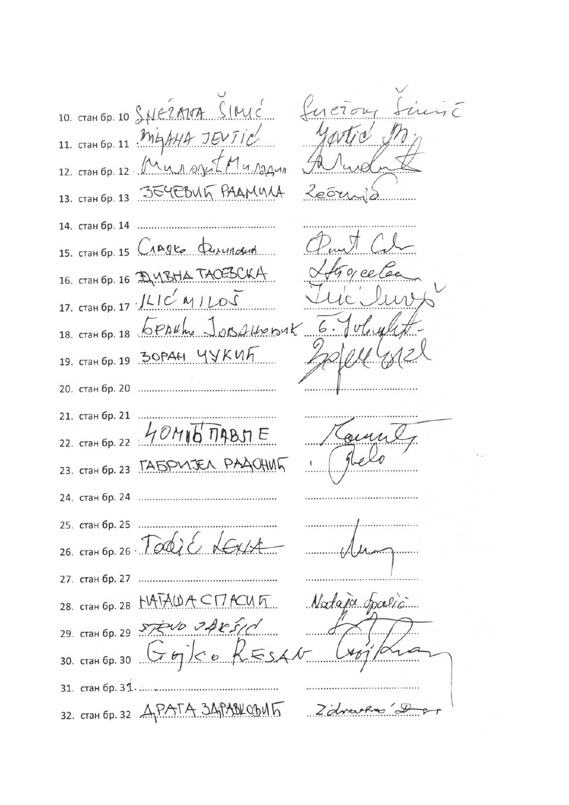$SIMC$  $\overline{1}$ 10. CTAH 6p. 10 S.N.C.2 A17 11. CTaH 6p. 11  $M444776V71c'$ н bp. 12 13. CTAH 6p. 13 354EBULT PAAMUL 14. cTaH 6p. 14 15. CTAH 6p. 15 CAAge Queenslath 16. CTAH 6p. 16 EVBHA TACEBCKH 17. CTAH 6p. 17  $JLICMJLOS$ 18. стан бр. 18  $6P$ All  $\sim$  1  $00041401$ 19. стан бр. 19  $30P$ АН ЧУКИЛ 20. cTSH 6p. 20 . 21. стан бр. 21 ...................... 22. CTaH 6p. 22  $40M$ 23. CTAH 6p. 23  $TA5P$   $MFA$ 24. cTaH 6p. 24 . 25. стан бр. 25 .................. 26. ctah 6p. 26  $. 7007C$ 27. cTaH 6p. 27 . 28. стан бр. 28 НАТАША СТ Nataja Spalic 29. CTAH 6p. 29 STRVD 248510 30. CTAH 6p. 30  $(76)$  $K$  $S$ sA 31. cTaH 6p. 31.. 32. стан бр. 32 ДРАГА ЗДРАВКОВИГ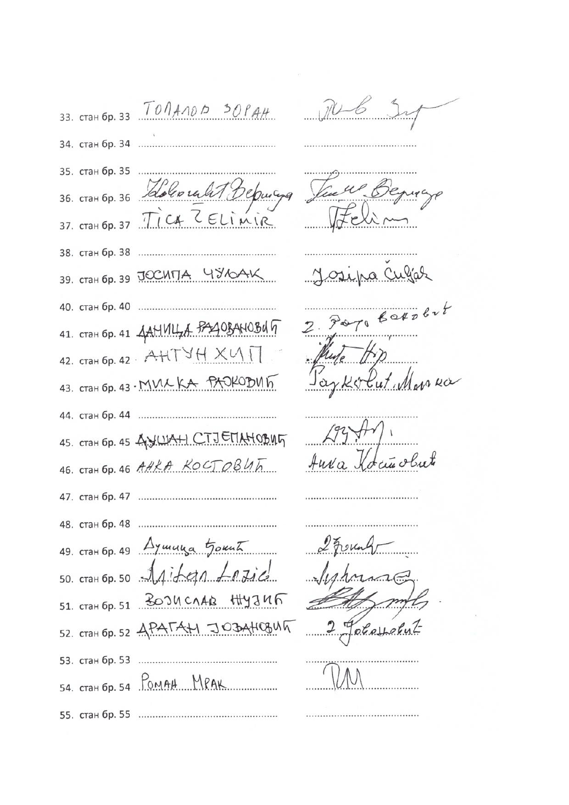33. стан бр. 33  $\overline{100}$ АЛОД 30 $\rho$ АН 35. стан бр. 35 ..... 36. CTAH 6p. 36 Klolouli 37. стан бр. 37 Г. СА Z EL  $1 M14$ 39. стан бр. 39 ЈОСИПА ЧУЉАК Pop Boxo 41. стан бр. 41 ДАНИЦА ВАЛОВАНОВИЯ 42. стан бр. 42. АНТУН ХИ 43. CTAH 6p. 43 - MVILKA PAPKODULT 45. стан бр. 45 ДУШАН СТЈЕПДНОВИГ 46. СТАН бр. 46 АНКА КОСТОВИТ 49. стан бр. 49 Душица  $5$ оки $\overline{6}$ 50. CTAH 6p. 50 11 jfen Levie 51. стан бр. 51 ВОЗИСЛАВ НУЗИК 52. CTaH 6p. 52 APATAH JOBAH 54. CTAH 6p. 54 POMAH MPAK